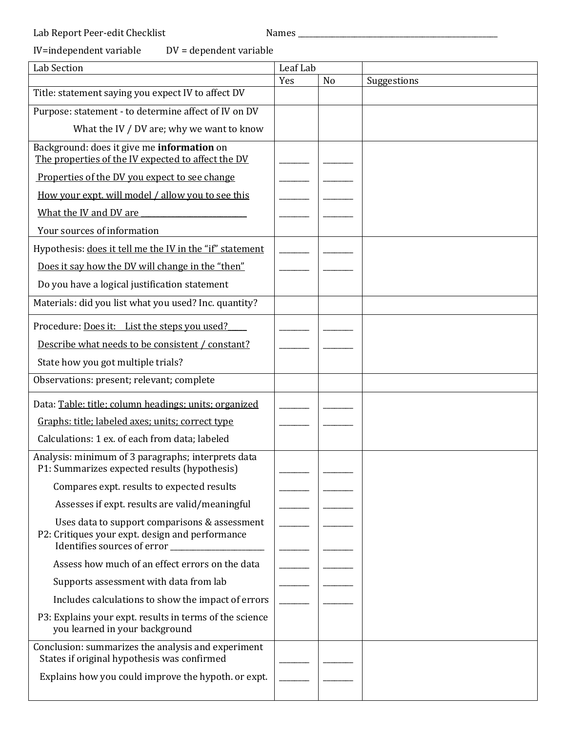## IV=independent variable DV = dependent variable

| <b>Lab Section</b>                                                                                                                             | Leaf Lab |                |             |
|------------------------------------------------------------------------------------------------------------------------------------------------|----------|----------------|-------------|
|                                                                                                                                                | Yes      | N <sub>o</sub> | Suggestions |
| Title: statement saying you expect IV to affect DV                                                                                             |          |                |             |
| Purpose: statement - to determine affect of IV on DV                                                                                           |          |                |             |
| What the IV / DV are; why we want to know                                                                                                      |          |                |             |
| Background: does it give me information on                                                                                                     |          |                |             |
| The properties of the IV expected to affect the DV                                                                                             |          |                |             |
| Properties of the DV you expect to see change                                                                                                  |          |                |             |
| How your expt. will model / allow you to see this                                                                                              |          |                |             |
| What the IV and DV are                                                                                                                         |          |                |             |
| Your sources of information                                                                                                                    |          |                |             |
| Hypothesis: does it tell me the IV in the "if" statement                                                                                       |          |                |             |
| Does it say how the DV will change in the "then"                                                                                               |          |                |             |
| Do you have a logical justification statement                                                                                                  |          |                |             |
| Materials: did you list what you used? Inc. quantity?                                                                                          |          |                |             |
| Procedure: Does it: List the steps you used?                                                                                                   |          |                |             |
| Describe what needs to be consistent / constant?                                                                                               |          |                |             |
| State how you got multiple trials?                                                                                                             |          |                |             |
| Observations: present; relevant; complete                                                                                                      |          |                |             |
| Data: Table: title; column headings; units; organized                                                                                          |          |                |             |
| Graphs: title; labeled axes; units; correct type                                                                                               |          |                |             |
| Calculations: 1 ex. of each from data; labeled                                                                                                 |          |                |             |
| Analysis: minimum of 3 paragraphs; interprets data<br>P1: Summarizes expected results (hypothesis)                                             |          |                |             |
| Compares expt. results to expected results                                                                                                     |          |                |             |
| Assesses if expt. results are valid/meaningful                                                                                                 |          |                |             |
| Uses data to support comparisons & assessment<br>P2: Critiques your expt. design and performance<br>Identifies sources of error ______________ |          |                |             |
| Assess how much of an effect errors on the data                                                                                                |          |                |             |
| Supports assessment with data from lab                                                                                                         |          |                |             |
| Includes calculations to show the impact of errors                                                                                             |          |                |             |
| P3: Explains your expt. results in terms of the science<br>you learned in your background                                                      |          |                |             |
| Conclusion: summarizes the analysis and experiment<br>States if original hypothesis was confirmed                                              |          |                |             |
| Explains how you could improve the hypoth. or expt.                                                                                            |          |                |             |
|                                                                                                                                                |          |                |             |